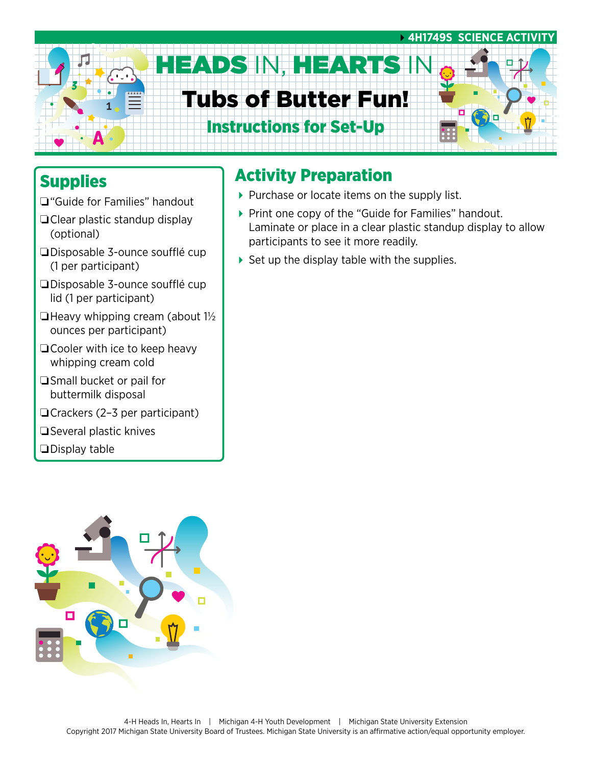

### **Supplies**

- ❏"Guide for Families" handout
- ❏Clear plastic standup display (optional)
- ❏Disposable 3-ounce soufflé cup (1 per participant)
- ❏Disposable 3-ounce soufflé cup lid (1 per participant)
- $\Box$  Heavy whipping cream (about  $1\frac{1}{2}$ ounces per participant)
- ❏Cooler with ice to keep heavy whipping cream cold
- ❏Small bucket or pail for buttermilk disposal
- ❏Crackers (2–3 per participant)
- ❏Several plastic knives
- ❏Display table

### Activity Preparation

- $\blacktriangleright$  Purchase or locate items on the supply list.
- ▶ Print one copy of the "Guide for Families" handout. Laminate or place in a clear plastic standup display to allow participants to see it more readily.
- $\triangleright$  Set up the display table with the supplies.